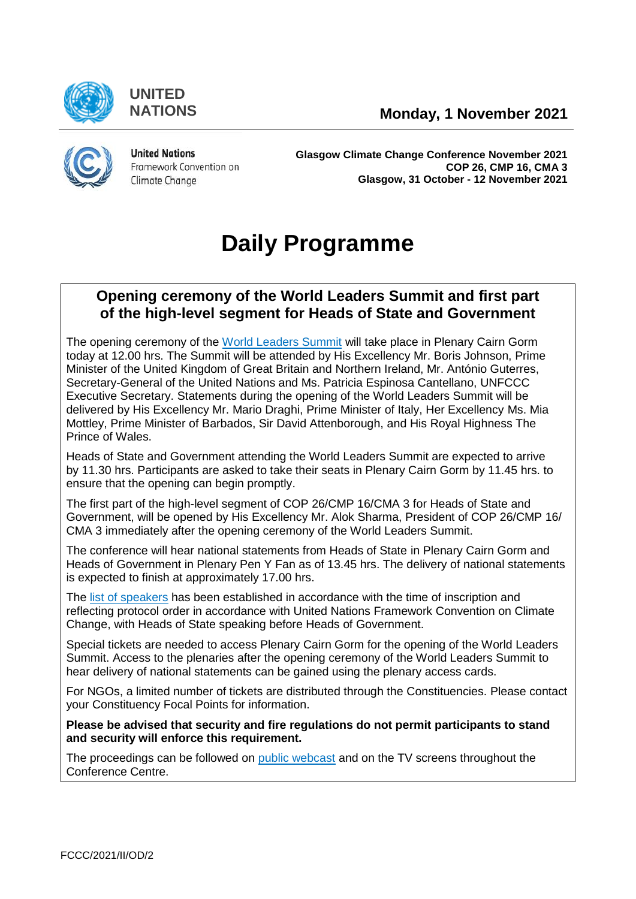

**UNITED**



**United Nations** Framework Convention on Climate Change

**Glasgow Climate Change Conference November 2021 COP 26, CMP 16, CMA 3 Glasgow, 31 October - 12 November 2021**

# **Daily Programme**

# **Opening ceremony of the World Leaders Summit and first part of the high-level segment for Heads of State and Government**

The opening ceremony of the [World Leaders Summit](https://unfccc.int/cop26/world-leaders-summit) will take place in Plenary Cairn Gorm today at 12.00 hrs. The Summit will be attended by His Excellency Mr. Boris Johnson, Prime Minister of the United Kingdom of Great Britain and Northern Ireland, Mr. António Guterres, Secretary-General of the United Nations and Ms. Patricia Espinosa Cantellano, UNFCCC Executive Secretary. Statements during the opening of the World Leaders Summit will be delivered by His Excellency Mr. Mario Draghi, Prime Minister of Italy, Her Excellency Ms. Mia Mottley, Prime Minister of Barbados, Sir David Attenborough, and His Royal Highness The Prince of Wales.

Heads of State and Government attending the World Leaders Summit are expected to arrive by 11.30 hrs. Participants are asked to take their seats in Plenary Cairn Gorm by 11.45 hrs. to ensure that the opening can begin promptly.

The first part of the high-level segment of COP 26/CMP 16/CMA 3 for Heads of State and Government, will be opened by His Excellency Mr. Alok Sharma, President of COP 26/CMP 16/ CMA 3 immediately after the opening ceremony of the World Leaders Summit.

The conference will hear national statements from Heads of State in Plenary Cairn Gorm and Heads of Government in Plenary Pen Y Fan as of 13.45 hrs. The delivery of national statements is expected to finish at approximately 17.00 hrs.

The [list of speakers](https://unfccc.int/sites/default/files/resource/COP26_List_of_speakers_1st_part_HLS_0.pdf) has been established in accordance with the time of inscription and reflecting protocol order in accordance with United Nations Framework Convention on Climate Change, with Heads of State speaking before Heads of Government.

Special tickets are needed to access Plenary Cairn Gorm for the opening of the World Leaders Summit. Access to the plenaries after the opening ceremony of the World Leaders Summit to hear delivery of national statements can be gained using the plenary access cards.

For NGOs, a limited number of tickets are distributed through the [Constituencies.](https://unfccc.int/process/parties-non-party-stakeholders/non-party-stakeholders/admitted-ngos#constituencies) Please contact your Constituency Focal Points for information.

**Please be advised that security and fire regulations do not permit participants to stand and security will enforce this requirement.**

The proceedings can be followed on [public webcast](https://unfccc-cop26.streamworld.de/live) and on the TV screens throughout the Conference Centre.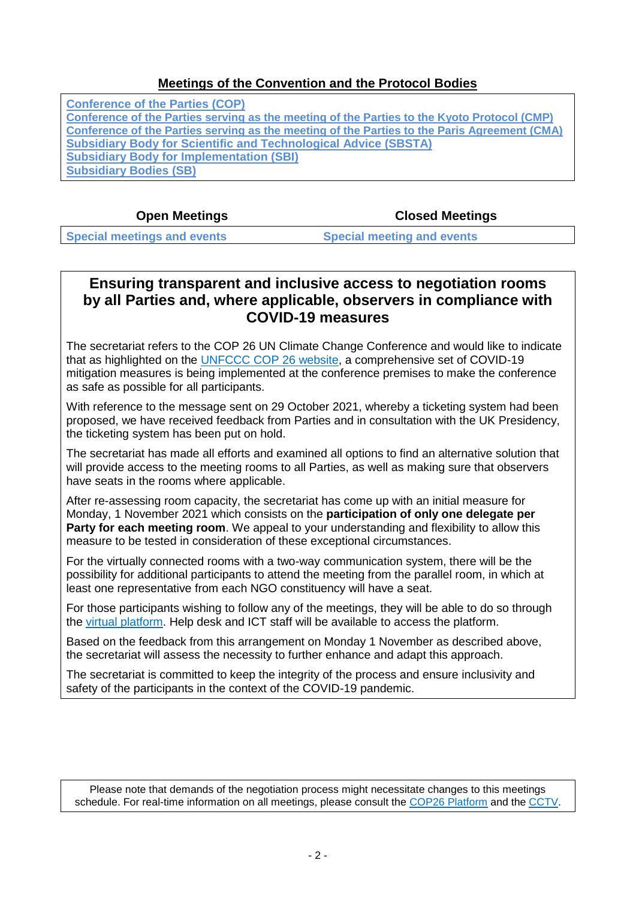### **[Meetings of the Convention and the Protocol Bodies](https://grandreserva.unfccc.int/grandreserva/public/schedule?time=2021-11-01&conference_id=80&meeting_type=&body=3,4,5,6,7,10&webcast=0)**

**[Conference of the Parties \(COP\)](https://grandreserva.unfccc.int/grandreserva/public/schedule?time=2021-11-01&conference_id=80&meeting_type=&body=4&webcast=0) [Conference of the Parties serving as the meeting of the Parties to the Kyoto Protocol \(CMP\)](https://grandreserva.unfccc.int/grandreserva/public/schedule?time=2021-11-01&conference_id=80&meeting_type=&body=3&webcast=0) [Conference of the Parties serving as the meeting of the Parties to the Paris Agreement \(CMA\)](https://grandreserva.unfccc.int/grandreserva/public/schedule?time=2021-11-01&conference_id=80&meeting_type=&body=10&webcast=0) [Subsidiary Body for Scientific and Technological Advice \(SBSTA\)](https://grandreserva.unfccc.int/grandreserva/public/schedule?time=2021-11-01&conference_id=80&meeting_type=&body=6&webcast=0) [Subsidiary Body for Implementation \(SBI\)](https://grandreserva.unfccc.int/grandreserva/public/schedule?time=2021-11-01&conference_id=80&meeting_type=&body=5&webcast=0) [Subsidiary Bodies \(SB\)](https://grandreserva.unfccc.int/grandreserva/public/schedule?time=2021-11-01&conference_id=80&meeting_type=&body=7&webcast=0)**

**Open Meetings Closed Meetings**

**[Special meetings and events](#page-2-0) [Special meeting and events](#page-2-1)**

# **Ensuring transparent and inclusive access to negotiation rooms by all Parties and, where applicable, observers in compliance with COVID-19 measures**

The secretariat refers to the COP 26 UN Climate Change Conference and would like to indicate that as highlighted on the **UNFCCC COP 26 website**, a comprehensive set of COVID-19 mitigation measures is being implemented at the conference premises to make the conference as safe as possible for all participants.

With reference to the message sent on 29 October 2021, whereby a ticketing system had been proposed, we have received feedback from Parties and in consultation with the UK Presidency, the ticketing system has been put on hold.

The secretariat has made all efforts and examined all options to find an alternative solution that will provide access to the meeting rooms to all Parties, as well as making sure that observers have seats in the rooms where applicable.

After re-assessing room capacity, the secretariat has come up with an initial measure for Monday, 1 November 2021 which consists on the **participation of only one delegate per Party for each meeting room**. We appeal to your understanding and flexibility to allow this measure to be tested in consideration of these exceptional circumstances.

For the virtually connected rooms with a two-way communication system, there will be the possibility for additional participants to attend the meeting from the parallel room, in which at least one representative from each NGO constituency will have a seat.

For those participants wishing to follow any of the meetings, they will be able to do so through the [virtual platform.](https://cop26platform.unfccc.int/cop26/auth) Help desk and ICT staff will be available to access the platform.

Based on the feedback from this arrangement on Monday 1 November as described above, the secretariat will assess the necessity to further enhance and adapt this approach.

The secretariat is committed to keep the integrity of the process and ensure inclusivity and safety of the participants in the context of the COVID-19 pandemic.

Please note that demands of the negotiation process might necessitate changes to this meetings schedule. For real-time information on all meetings, please consult the [COP26 Platform](https://unfccc.int/cop26/virtual) and the [CCTV.](https://grandreserva.unfccc.int/grandreserva/public/schedule)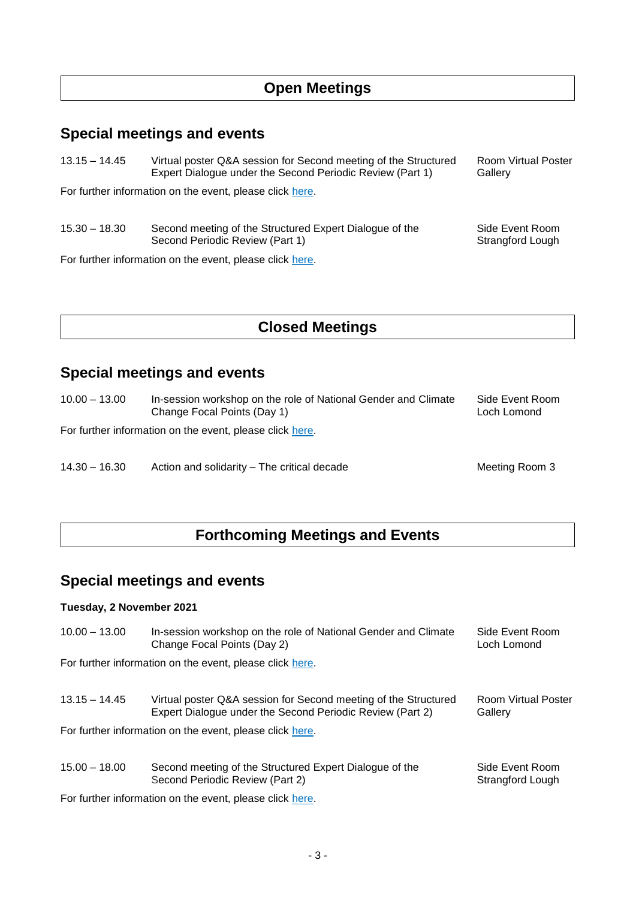# **Open Meetings**

# <span id="page-2-0"></span>**Special meetings and events**

13.15 – 14.45 Virtual poster Q&A session for Second meeting of the Structured Room Virtual Poster Expert Dialogue under the Second Periodic Review (Part 1) Gallery

For further information on the event, please click [here.](https://unfccc.int/event/second-meeting-of-the-structured-expert-dialogue-of-the-second-periodic-review)

15.30 – 18.30 Second meeting of the Structured Expert Dialogue of the Side Event Room<br>Second Periodic Review (Part 1) Strangford Lough Second Periodic Review (Part 1)

For further information on the event, please click [here.](https://unfccc.int/event/second-meeting-of-the-structured-expert-dialogue-of-the-second-periodic-review)

# **Closed Meetings**

# <span id="page-2-1"></span>**Special meetings and events**

10.00 – 13.00 In-session workshop on the role of National Gender and Climate Side Event Room Change Focal Points (Day 1) Change Focal Points (Day 1)

For further information on the event, please click [here.](https://unfccc.int/topics/gender/events-meetings/gender-day-other-events-at-cops/gender-women-at-cop-26#in-session-workshop-on-the-role-of-ngccfps)

14.30 – 16.30 Action and solidarity – The critical decade Meeting Room 3

# **Forthcoming Meetings and Events**

# **Special meetings and events**

#### **Tuesday, 2 November 2021**

| $10.00 - 13.00$                                          | In-session workshop on the role of National Gender and Climate<br>Change Focal Points (Day 2)                                | Side Event Room<br>Loch Lomond        |
|----------------------------------------------------------|------------------------------------------------------------------------------------------------------------------------------|---------------------------------------|
| For further information on the event, please click here. |                                                                                                                              |                                       |
|                                                          |                                                                                                                              |                                       |
| $13.15 - 14.45$                                          | Virtual poster Q&A session for Second meeting of the Structured<br>Expert Dialogue under the Second Periodic Review (Part 2) | <b>Room Virtual Poster</b><br>Gallery |
| For further information on the event, please click here. |                                                                                                                              |                                       |
|                                                          |                                                                                                                              |                                       |
| $15.00 - 18.00$                                          | Second meeting of the Structured Expert Dialogue of the<br>Second Periodic Review (Part 2)                                   | Side Event Room<br>Strangford Lough   |
|                                                          | For further information on the event, please click here.                                                                     |                                       |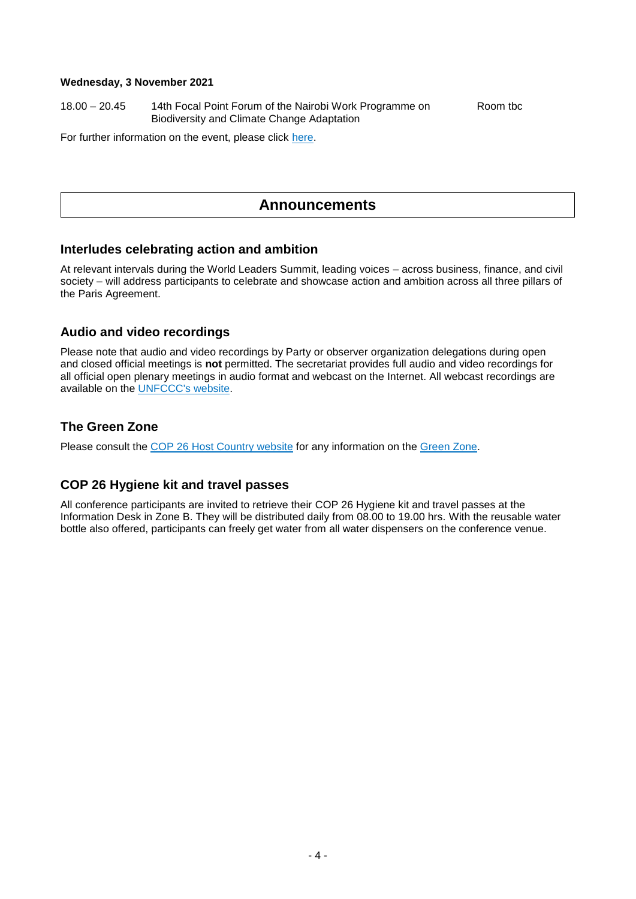#### **Wednesday, 3 November 2021**

18.00 – 20.45 14th Focal Point Forum of the Nairobi Work Programme on Room tbc Biodiversity and Climate Change Adaptation

For further information on the event, please click [here.](https://unfccc.int/event/FPF14-NWP-biodiversity-adaptation)

## **Announcements**

#### **Interludes celebrating action and ambition**

At relevant intervals during the World Leaders Summit, leading voices – across business, finance, and civil society – will address participants to celebrate and showcase action and ambition across all three pillars of the Paris Agreement.

#### **Audio and video recordings**

Please note that audio and video recordings by Party or observer organization delegations during open and closed official meetings is **not** permitted. The secretariat provides full audio and video recordings for all official open plenary meetings in audio format and webcast on the Internet. All webcast recordings are available on the [UNFCCC's website.](https://unfccc-cop26.streamworld.de/live)

#### **The Green Zone**

Please consult the COP 26 [Host Country website](https://ukcop26.org/) for any information on the [Green Zone.](https://ukcop26.org/the-conference/green-zone-programme-of-events/)

#### **COP 26 Hygiene kit and travel passes**

All conference participants are invited to retrieve their COP 26 Hygiene kit and travel passes at the Information Desk in Zone B. They will be distributed daily from 08.00 to 19.00 hrs. With the reusable water bottle also offered, participants can freely get water from all water dispensers on the conference venue.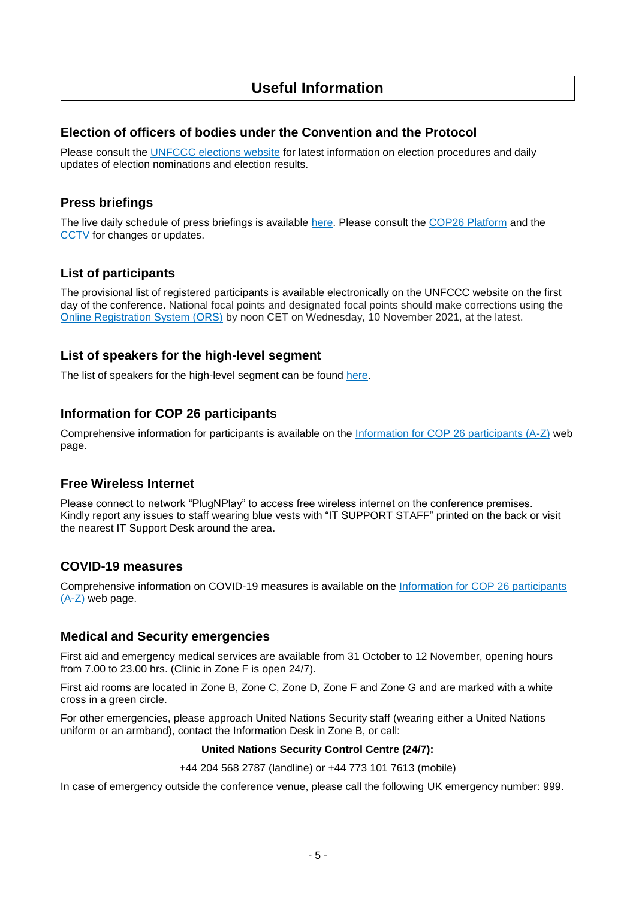# **Useful Information**

#### **Election of officers of bodies under the Convention and the Protocol**

Please consult the [UNFCCC elections website](https://unfccc.int/process-and-meetings/bodies/the-big-picture/election-and-membership) for latest information on election procedures and daily updates of election nominations and election results.

#### **Press briefings**

The live daily schedule of press briefings is available [here.](https://unfccc.int/calendar) Please consult the [COP26 Platform](https://unfccc.int/cop26/virtual) and the [CCTV](https://grandreserva.unfccc.int/grandreserva/public/schedule) for changes or updates.

#### **List of participants**

The provisional list of registered participants is available electronically on the UNFCCC website on the first day of the conference. National focal points and designated focal points should make corrections using the [Online Registration System \(ORS\)](https://eur01.safelinks.protection.outlook.com/?url=https%3A%2F%2Fonlinereg.unfccc.int%2F&data=04%7C01%7CASchunke%40unfccc.int%7C4c501aba60d145a5a06208d99c85541d%7C2a6c12ad406a4f33b686f78ff5822208%7C0%7C0%7C637712918716371568%7CUnknown%7CTWFpbGZsb3d8eyJWIjoiMC4wLjAwMDAiLCJQIjoiV2luMzIiLCJBTiI6Ik1haWwiLCJXVCI6Mn0%3D%7C1000&sdata=12ex3uauiw0u7YTXppfrJFI5ECKJ%2FRhWjs7s67LuDoI%3D&reserved=0) by noon CET on Wednesday, 10 November 2021, at the latest.

#### **List of speakers for the high-level segment**

The list of speakers for the high-level segment can be found [here.](https://unfccc.int/sites/default/files/resource/COP26_List_of_speakers_1st_part_HLS_0.pdf)

#### **Information for COP 26 participants**

Comprehensive information for participants is available on the [Information for COP 26 participants \(A-Z\)](https://unfccc.int/cop26/participants-a-z) web page.

#### **Free Wireless Internet**

Please connect to network "PlugNPlay" to access free wireless internet on the conference premises. Kindly report any issues to staff wearing blue vests with "IT SUPPORT STAFF" printed on the back or visit the nearest IT Support Desk around the area.

#### **COVID-19 measures**

Comprehensive information on COVID-19 measures is available on the [Information for COP 26 participants](https://unfccc.int/cop26/participants-a-z#eq-14)   $(A-Z)$  web page.

#### **Medical and Security emergencies**

First aid and emergency medical services are available from 31 October to 12 November, opening hours from 7.00 to 23.00 hrs. (Clinic in Zone F is open 24/7).

First aid rooms are located in Zone B, Zone C, Zone D, Zone F and Zone G and are marked with a white cross in a green circle.

For other emergencies, please approach United Nations Security staff (wearing either a United Nations uniform or an armband), contact the Information Desk in Zone B, or call:

#### **United Nations Security Control Centre (24/7):**

+44 204 568 2787 (landline) or +44 773 101 7613 (mobile)

In case of emergency outside the conference venue, please call the following UK emergency number: 999.